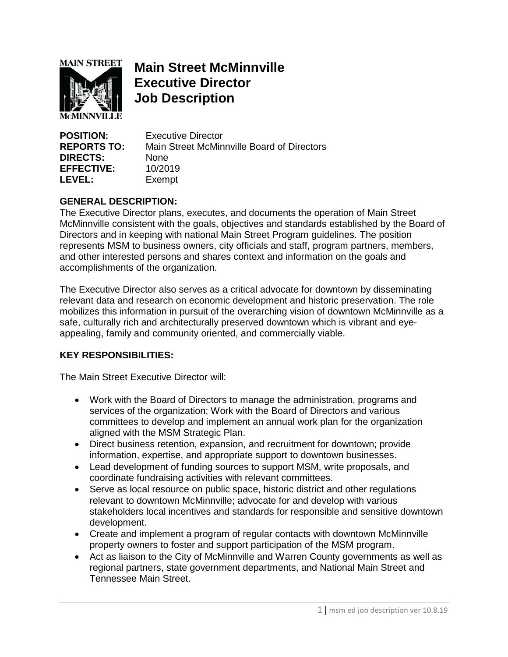

# **Main Street McMinnville Executive Director Job Description**

**POSITION:** Executive Director **REPORTS TO:** Main Street McMinnville Board of Directors **DIRECTS:** None **EFFECTIVE:** 10/2019 **LEVEL:** Exempt

## **GENERAL DESCRIPTION:**

The Executive Director plans, executes, and documents the operation of Main Street McMinnville consistent with the goals, objectives and standards established by the Board of Directors and in keeping with national Main Street Program guidelines. The position represents MSM to business owners, city officials and staff, program partners, members, and other interested persons and shares context and information on the goals and accomplishments of the organization.

The Executive Director also serves as a critical advocate for downtown by disseminating relevant data and research on economic development and historic preservation. The role mobilizes this information in pursuit of the overarching vision of downtown McMinnville as a safe, culturally rich and architecturally preserved downtown which is vibrant and eyeappealing, family and community oriented, and commercially viable.

#### **KEY RESPONSIBILITIES:**

The Main Street Executive Director will:

- Work with the Board of Directors to manage the administration, programs and services of the organization; Work with the Board of Directors and various committees to develop and implement an annual work plan for the organization aligned with the MSM Strategic Plan.
- Direct business retention, expansion, and recruitment for downtown; provide information, expertise, and appropriate support to downtown businesses.
- Lead development of funding sources to support MSM, write proposals, and coordinate fundraising activities with relevant committees.
- Serve as local resource on public space, historic district and other regulations relevant to downtown McMinnville; advocate for and develop with various stakeholders local incentives and standards for responsible and sensitive downtown development.
- Create and implement a program of regular contacts with downtown McMinnville property owners to foster and support participation of the MSM program.
- Act as liaison to the City of McMinnville and Warren County governments as well as regional partners, state government departments, and National Main Street and Tennessee Main Street.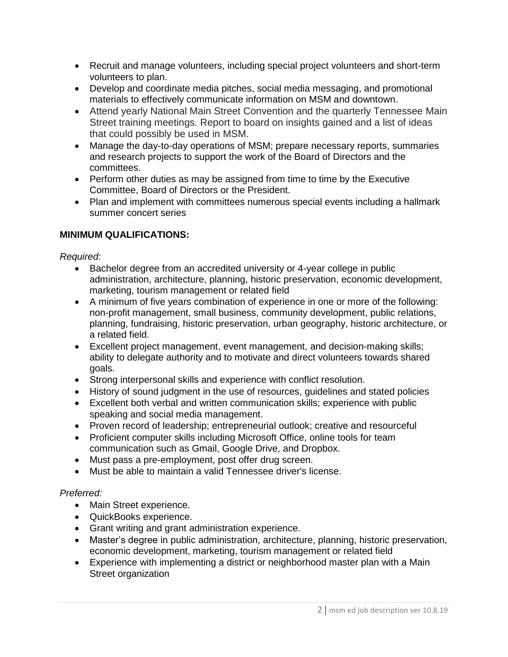- Recruit and manage volunteers, including special project volunteers and short-term volunteers to plan.
- Develop and coordinate media pitches, social media messaging, and promotional materials to effectively communicate information on MSM and downtown.
- Attend yearly National Main Street Convention and the quarterly Tennessee Main Street training meetings. Report to board on insights gained and a list of ideas that could possibly be used in MSM.
- Manage the day-to-day operations of MSM; prepare necessary reports, summaries and research projects to support the work of the Board of Directors and the committees.
- Perform other duties as may be assigned from time to time by the Executive Committee, Board of Directors or the President.
- Plan and implement with committees numerous special events including a hallmark summer concert series

# **MINIMUM QUALIFICATIONS:**

#### *Required:*

- Bachelor degree from an accredited university or 4-year college in public administration, architecture, planning, historic preservation, economic development, marketing, tourism management or related field
- A minimum of five years combination of experience in one or more of the following: non-profit management, small business, community development, public relations, planning, fundraising, historic preservation, urban geography, historic architecture, or a related field.
- Excellent project management, event management, and decision-making skills; ability to delegate authority and to motivate and direct volunteers towards shared goals.
- Strong interpersonal skills and experience with conflict resolution.
- History of sound judgment in the use of resources, guidelines and stated policies
- Excellent both verbal and written communication skills; experience with public speaking and social media management.
- Proven record of leadership; entrepreneurial outlook; creative and resourceful
- Proficient computer skills including Microsoft Office, online tools for team communication such as Gmail, Google Drive, and Dropbox.
- Must pass a pre-employment, post offer drug screen.
- Must be able to maintain a valid Tennessee driver's license.

# *Preferred:*

- Main Street experience.
- QuickBooks experience.
- Grant writing and grant administration experience.
- Master's degree in public administration, architecture, planning, historic preservation, economic development, marketing, tourism management or related field
- Experience with implementing a district or neighborhood master plan with a Main Street organization